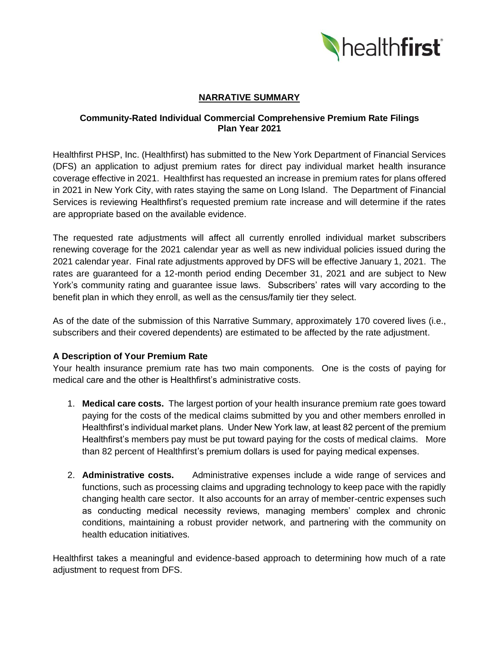

# **NARRATIVE SUMMARY**

#### **Community-Rated Individual Commercial Comprehensive Premium Rate Filings Plan Year 2021**

Healthfirst PHSP, Inc. (Healthfirst) has submitted to the New York Department of Financial Services (DFS) an application to adjust premium rates for direct pay individual market health insurance coverage effective in 2021. Healthfirst has requested an increase in premium rates for plans offered in 2021 in New York City, with rates staying the same on Long Island. The Department of Financial Services is reviewing Healthfirst's requested premium rate increase and will determine if the rates are appropriate based on the available evidence.

The requested rate adjustments will affect all currently enrolled individual market subscribers renewing coverage for the 2021 calendar year as well as new individual policies issued during the 2021 calendar year. Final rate adjustments approved by DFS will be effective January 1, 2021. The rates are guaranteed for a 12-month period ending December 31, 2021 and are subject to New York's community rating and guarantee issue laws. Subscribers' rates will vary according to the benefit plan in which they enroll, as well as the census/family tier they select.

As of the date of the submission of this Narrative Summary, approximately 170 covered lives (i.e., subscribers and their covered dependents) are estimated to be affected by the rate adjustment.

#### **A Description of Your Premium Rate**

Your health insurance premium rate has two main components. One is the costs of paying for medical care and the other is Healthfirst's administrative costs.

- 1. **Medical care costs.** The largest portion of your health insurance premium rate goes toward paying for the costs of the medical claims submitted by you and other members enrolled in Healthfirst's individual market plans. Under New York law, at least 82 percent of the premium Healthfirst's members pay must be put toward paying for the costs of medical claims. More than 82 percent of Healthfirst's premium dollars is used for paying medical expenses.
- 2. **Administrative costs.** Administrative expenses include a wide range of services and functions, such as processing claims and upgrading technology to keep pace with the rapidly changing health care sector. It also accounts for an array of member-centric expenses such as conducting medical necessity reviews, managing members' complex and chronic conditions, maintaining a robust provider network, and partnering with the community on health education initiatives.

Healthfirst takes a meaningful and evidence-based approach to determining how much of a rate adjustment to request from DFS.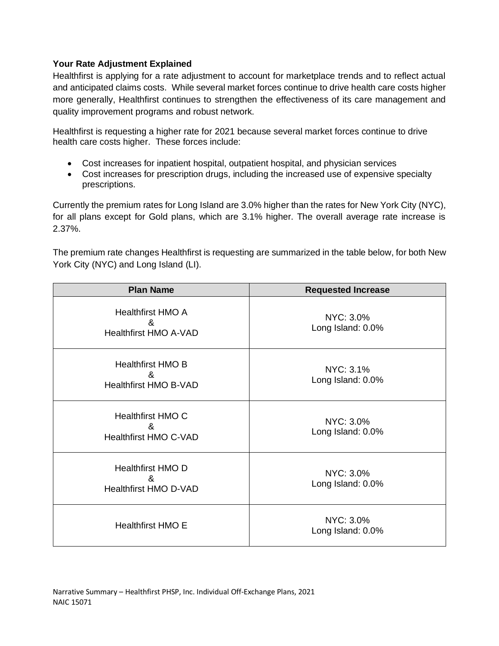### **Your Rate Adjustment Explained**

Healthfirst is applying for a rate adjustment to account for marketplace trends and to reflect actual and anticipated claims costs. While several market forces continue to drive health care costs higher more generally, Healthfirst continues to strengthen the effectiveness of its care management and quality improvement programs and robust network.

Healthfirst is requesting a higher rate for 2021 because several market forces continue to drive health care costs higher. These forces include:

- Cost increases for inpatient hospital, outpatient hospital, and physician services
- Cost increases for prescription drugs, including the increased use of expensive specialty prescriptions.

Currently the premium rates for Long Island are 3.0% higher than the rates for New York City (NYC), for all plans except for Gold plans, which are 3.1% higher. The overall average rate increase is 2.37%.

The premium rate changes Healthfirst is requesting are summarized in the table below, for both New York City (NYC) and Long Island (LI).

| <b>Plan Name</b>                                                                       | <b>Requested Increase</b>      |
|----------------------------------------------------------------------------------------|--------------------------------|
| <b>Healthfirst HMO A</b><br>&<br><b>Healthfirst HMO A-VAD</b>                          | NYC: 3.0%<br>Long Island: 0.0% |
| <b>Healthfirst HMO B</b><br>&<br><b>Healthfirst HMO B-VAD</b>                          | NYC: 3.1%<br>Long Island: 0.0% |
| <b>Healthfirst HMO C</b><br>$\boldsymbol{\mathcal{R}}$<br><b>Healthfirst HMO C-VAD</b> | NYC: 3.0%<br>Long Island: 0.0% |
| <b>Healthfirst HMO D</b><br>&<br><b>Healthfirst HMO D-VAD</b>                          | NYC: 3.0%<br>Long Island: 0.0% |
| <b>Healthfirst HMO E</b>                                                               | NYC: 3.0%<br>Long Island: 0.0% |